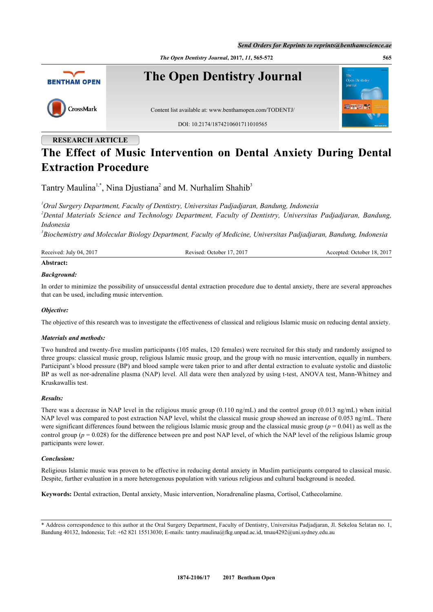*The Open Dentistry Journal***, 2017,** *11***, 565-572 565**



# **RESEARCH ARTICLE**

# **The Effect of Music Intervention on Dental Anxiety During Dental Extraction Procedure**

Tantry Maulina<sup>[1,](#page-0-0)[\\*](#page-0-1)</sup>, Nina Djustiana<sup>[2](#page-0-2)</sup> and M. Nurhalim Shahib<sup>[3](#page-0-3)</sup>

<span id="page-0-2"></span><span id="page-0-0"></span>*<sup>1</sup>Oral Surgery Department, Faculty of Dentistry, Universitas Padjadjaran, Bandung, Indonesia <sup>2</sup>Dental Materials Science and Technology Department, Faculty of Dentistry, Universitas Padjadjaran, Bandung, Indonesia*

<span id="page-0-3"></span>*3 Biochemistry and Molecular Biology Department, Faculty of Medicine, Universitas Padjadjaran, Bandung, Indonesia*

| Received: July 04, 2017 | Revised: October 17, 2017 | Accepted: October 18, 2017 |
|-------------------------|---------------------------|----------------------------|
| $\cdots$                |                           |                            |

# **Abstract:**

#### *Background:*

In order to minimize the possibility of unsuccessful dental extraction procedure due to dental anxiety, there are several approaches that can be used, including music intervention.

### *Objective:*

The objective of this research was to investigate the effectiveness of classical and religious Islamic music on reducing dental anxiety.

#### *Materials and methods:*

Two hundred and twenty-five muslim participants (105 males, 120 females) were recruited for this study and randomly assigned to three groups: classical music group, religious Islamic music group, and the group with no music intervention, equally in numbers. Participant's blood pressure (BP) and blood sample were taken prior to and after dental extraction to evaluate systolic and diastolic BP as well as nor-adrenaline plasma (NAP) level. All data were then analyzed by using t-test, ANOVA test, Mann-Whitney and Kruskawallis test.

#### *Results:*

There was a decrease in NAP level in the religious music group  $(0.110 \text{ ng/mL})$  and the control group  $(0.013 \text{ ng/mL})$  when initial NAP level was compared to post extraction NAP level, whilst the classical music group showed an increase of 0.053 ng/mL. There were significant differences found between the religious Islamic music group and the classical music group ( $p = 0.041$ ) as well as the control group ( $p = 0.028$ ) for the difference between pre and post NAP level, of which the NAP level of the religious Islamic group participants were lower.

#### *Conclusion:*

Religious Islamic music was proven to be effective in reducing dental anxiety in Muslim participants compared to classical music. Despite, further evaluation in a more heterogenous population with various religious and cultural background is needed.

**Keywords:** Dental extraction, Dental anxiety, Music intervention, Noradrenaline plasma, Cortisol, Cathecolamine.

<span id="page-0-1"></span><sup>\*</sup> Address correspondence to this author at the Oral Surgery Department, Faculty of Dentistry, Universitas Padjadjaran, Jl. Sekeloa Selatan no. 1, Bandung 40132, Indonesia; Tel: +62 821 15513030; E-mails: [tantry.maulina@fkg.unpad.ac.id,](mailto:tantry.maulina@fkg.unpad.ac.id) [tmau4292@uni.sydney.edu.au](mailto:tmau4292@uni.sydney.edu.au)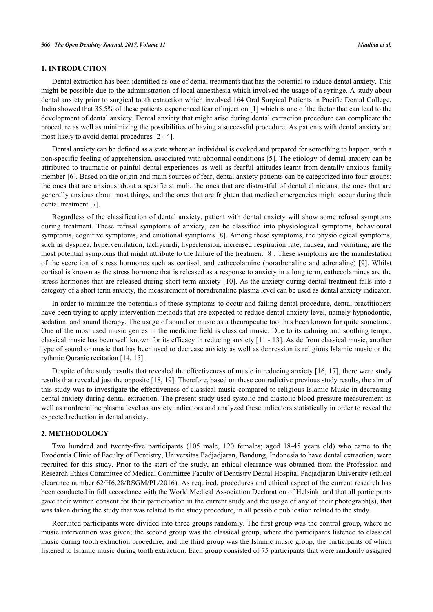#### **1. INTRODUCTION**

Dental extraction has been identified as one of dental treatments that has the potential to induce dental anxiety. This might be possible due to the administration of local anaesthesia which involved the usage of a syringe. A study about dental anxiety prior to surgical tooth extraction which involved 164 Oral Surgical Patients in Pacific Dental College, India showed that 35.5% of these patients experienced fear of injection [\[1](#page-5-0)] which is one of the factor that can lead to the development of dental anxiety. Dental anxiety that might arise during dental extraction procedure can complicate the procedure as well as minimizing the possibilities of having a successful procedure. As patients with dental anxiety are most likely to avoid dental procedures [[2](#page-5-1) - [4\]](#page-5-2).

Dental anxiety can be defined as a state where an individual is evoked and prepared for something to happen, with a non-specific feeling of apprehension, associated with abnormal conditions [[5](#page-6-0)]. The etiology of dental anxiety can be attributed to traumatic or painful dental experiences as well as fearful attitudes learnt from dentally anxious family member [[6\]](#page-6-1). Based on the origin and main sources of fear, dental anxiety patients can be categorized into four groups: the ones that are anxious about a spesific stimuli, the ones that are distrustful of dental clinicians, the ones that are generally anxious about most things, and the ones that are frighten that medical emergencies might occur during their dental treatment [\[7](#page-6-2)].

Regardless of the classification of dental anxiety, patient with dental anxiety will show some refusal symptoms during treatment. These refusal symptoms of anxiety, can be classified into physiological symptoms, behavioural symptoms, cognitive symptoms, and emotional symptoms [[8](#page-6-3)]. Among these symptoms, the physiological symptoms, such as dyspnea, hyperventilation, tachycardi, hypertension, increased respiration rate, nausea, and vomiting, are the most potential symptoms that might attribute to the failure of the treatment [\[8](#page-6-3)]. These symptoms are the manifestation of the secretion of stress hormones such as cortisol, and cathecolamine (noradrenaline and adrenaline) [[9\]](#page-6-4). Whilst cortisol is known as the stress hormone that is released as a response to anxiety in a long term, cathecolamines are the stress hormones that are released during short term anxiety [\[10](#page-6-5)]. As the anxiety during dental treatment falls into a category of a short term anxiety, the measurement of noradrenaline plasma level can be used as dental anxiety indicator.

In order to minimize the potentials of these symptoms to occur and failing dental procedure, dental practitioners have been trying to apply intervention methods that are expected to reduce dental anxiety level, namely hypnodontic, sedation, and sound therapy. The usage of sound or music as a theurapeutic tool has been known for quite sometime. One of the most used music genres in the medicine field is classical music. Due to its calming and soothing tempo, classical music has been well known for its efficacy in reducing anxiety [[11](#page-6-6) - [13\]](#page-6-7). Aside from classical music, another type of sound or music that has been used to decrease anxiety as well as depression is religious Islamic music or the rythmic Quranic recitation [[14,](#page-6-8) [15\]](#page-6-9).

Despite of the study results that revealed the effectiveness of music in reducing anxiety [\[16,](#page-6-10) [17](#page-6-11)], there were study results that revealed just the opposite [\[18](#page-6-12), [19](#page-6-13)]. Therefore, based on these contradictive previous study results, the aim of this study was to investigate the effectiveness of classical music compared to religious Islamic Music in decreasing dental anxiety during dental extraction. The present study used systolic and diastolic blood pressure measurement as well as nordrenaline plasma level as anxiety indicators and analyzed these indicators statistically in order to reveal the expected reduction in dental anxiety.

# **2. METHODOLOGY**

Two hundred and twenty-five participants (105 male, 120 females; aged 18-45 years old) who came to the Exodontia Clinic of Faculty of Dentistry, Universitas Padjadjaran, Bandung, Indonesia to have dental extraction, were recruited for this study. Prior to the start of the study, an ethical clearance was obtained from the Profession and Research Ethics Committee of Medical Committee Faculty of Dentistry Dental Hospital Padjadjaran University (ethical clearance number:62/H6.28/RSGM/PL/2016). As required, procedures and ethical aspect of the current research has been conducted in full accordance with the World Medical Association Declaration of Helsinki and that all participants gave their written consent for their participation in the current study and the usage of any of their photograph(s), that was taken during the study that was related to the study procedure, in all possible publication related to the study.

Recruited participants were divided into three groups randomly. The first group was the control group, where no music intervention was given; the second group was the classical group, where the participants listened to classical music during tooth extraction procedure; and the third group was the Islamic music group, the participants of which listened to Islamic music during tooth extraction. Each group consisted of 75 participants that were randomly assigned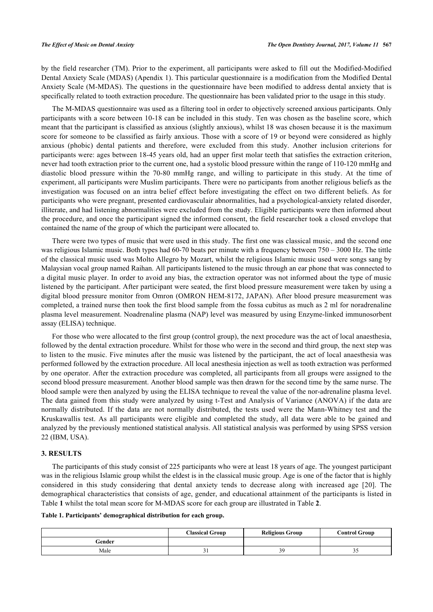by the field researcher (TM). Prior to the experiment, all participants were asked to fill out the Modified-Modified Dental Anxiety Scale (MDAS) (Apendix 1). This particular questionnaire is a modification from the Modified Dental Anxiety Scale (M-MDAS). The questions in the questionnaire have been modified to address dental anxiety that is specifically related to tooth extraction procedure. The questionnaire has been validated prior to the usage in this study.

The M-MDAS questionnaire was used as a filtering tool in order to objectively screened anxious participants. Only participants with a score between 10-18 can be included in this study. Ten was chosen as the baseline score, which meant that the participant is classified as anxious (slightly anxious), whilst 18 was chosen because it is the maximum score for someone to be classified as fairly anxious. Those with a score of 19 or beyond were considered as highly anxious (phobic) dental patients and therefore, were excluded from this study. Another inclusion criterions for participants were: ages between 18-45 years old, had an upper first molar teeth that satisfies the extraction criterion, never had tooth extraction prior to the current one, had a systolic blood pressure within the range of 110-120 mmHg and diastolic blood pressure within the 70-80 mmHg range, and willing to participate in this study. At the time of experiment, all participants were Muslim participants. There were no participants from another religious beliefs as the investigation was focused on an intra belief effect before investigating the effect on two different beliefs. As for participants who were pregnant, presented cardiovasculair abnormalities, had a psychological-anxiety related disorder, illiterate, and had listening abnormalities were excluded from the study. Eligible participants were then informed about the procedure, and once the participant signed the informed consent, the field researcher took a closed envelope that contained the name of the group of which the participant were allocated to.

There were two types of music that were used in this study. The first one was classical music, and the second one was religious Islamic music. Both types had 60-70 beats per minute with a frequency between 750 – 3000 Hz. The tittle of the classical music used was Molto Allegro by Mozart, whilst the religious Islamic music used were songs sang by Malaysian vocal group named Raihan. All participants listened to the music through an ear phone that was connected to a digital music player. In order to avoid any bias, the extraction operator was not informed about the type of music listened by the participant. After participant were seated, the first blood pressure measurement were taken by using a digital blood pressure monitor from Omron (OMRON HEM-8172, JAPAN). After blood presure measurement was completed, a trained nurse then took the first blood sample from the fossa cubitus as much as 2 ml for noradrenaline plasma level measurement. Noadrenaline plasma (NAP) level was measured by using Enzyme-linked immunosorbent assay (ELISA) technique.

For those who were allocated to the first group (control group), the next procedure was the act of local anaesthesia, followed by the dental extraction procedure. Whilst for those who were in the second and third group, the next step was to listen to the music. Five minutes after the music was listened by the participant, the act of local anaesthesia was performed followed by the extraction procedure. All local anesthesia injection as well as tooth extraction was performed by one operator. After the extraction procedure was completed, all participants from all groups were assigned to the second blood pressure measurement. Another blood sample was then drawn for the second time by the same nurse. The blood sample were then analyzed by using the ELISA technique to reveal the value of the nor-adrenaline plasma level. The data gained from this study were analyzed by using t-Test and Analysis of Variance (ANOVA) if the data are normally distributed. If the data are not normally distributed, the tests used were the Mann-Whitney test and the Kruskawallis test. As all participants were eligible and completed the study, all data were able to be gained and analyzed by the previously mentioned statistical analysis. All statistical analysis was performed by using SPSS version 22 (IBM, USA).

#### **3. RESULTS**

The participants of this study consist of 225 participants who were at least 18 years of age. The youngest participant was in the religious Islamic group whilst the eldest is in the classical music group. Age is one of the factor that is highly considered in this study considering that dental anxiety tends to decrease along with increased age[[20\]](#page-6-14). The demographical characteristics that consists of age, gender, and educational attainment of the participants is listed in Table **[1](#page-2-0)** whilst the total mean score for M-MDAS score for each group are illustrated in Table **[2](#page-3-0)**.

<span id="page-2-0"></span>**Table 1. Participants' demographical distribution for each group.**

|        | <b>Classical Group</b> | <b>Religious Group</b> | <b>Control Group</b> |
|--------|------------------------|------------------------|----------------------|
| Gender |                        |                        |                      |
| Male   | ້                      | 39                     | -                    |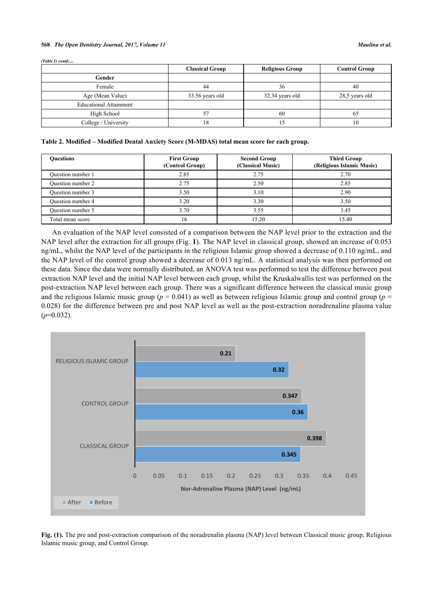#### **568** *The Open Dentistry Journal, 2017, Volume 11 Maulina et al.*

| (Table 1) contd               |                        |                        |                      |
|-------------------------------|------------------------|------------------------|----------------------|
|                               | <b>Classical Group</b> | <b>Religious Group</b> | <b>Control Group</b> |
| Gender                        |                        |                        |                      |
| Female                        | 44                     | 36                     | 40                   |
| Age (Mean Value)              | 33.56 years old        | 32,34 years old        | 28,5 years old       |
| <b>Educational Attainment</b> |                        |                        |                      |
| High School                   |                        | 60                     | 65                   |
| College / University          | 18                     |                        | 10                   |

<span id="page-3-0"></span>

|  | Table 2. Modified - Modified Dental Anxiety Score (M-MDAS) total mean score for each group. |  |  |  |
|--|---------------------------------------------------------------------------------------------|--|--|--|
|  |                                                                                             |  |  |  |

| <b>Ouestions</b>  | <b>First Group</b><br>(Control Group) | <b>Second Group</b><br>(Classical Music) | <b>Third Group</b><br>(Religious Islamic Music) |
|-------------------|---------------------------------------|------------------------------------------|-------------------------------------------------|
| Ouestion number 1 | 2.85                                  | 2.75                                     | 2.70                                            |
| Ouestion number 2 | 2.75                                  | 2.50                                     | 2.85                                            |
| Ouestion number 3 | 3.50                                  | 3.10                                     | 2.90                                            |
| Ouestion number 4 | 3.20                                  | 3.30                                     | 3.50                                            |
| Ouestion number 5 | 3.70                                  | 3.55                                     | 3.45                                            |
| Total mean score  | 16                                    | 15.20                                    | 15.40                                           |

An evaluation of the NAP level consisted of a comparison between the NAP level prior to the extraction and the NAP level after the extraction for all groups (Fig. **[1](#page-3-1)**). The NAP level in classical group, showed an increase of 0.053 ng/mL, whilst the NAP level of the participants in the religious Islamic group showed a decrease of 0.110 ng/mL, and the NAP level of the control group showed a decrease of 0.013 ng/mL. A statistical analysis was then performed on these data. Since the data were normally distributed, an ANOVA test was performed to test the difference between post extraction NAP level and the initial NAP level between each group, whilst the Kruskalwallis test was performed on the post-extraction NAP level between each group. There was a significant difference between the classical music group and the religious Islamic music group ( $p = 0.041$ ) as well as between religious Islamic group and control group ( $p =$ 0.028) for the difference between pre and post NAP level as well as the post-extraction noradrenaline plasma value  $(p=0.032)$ .

<span id="page-3-1"></span>

**Fig. (1).** The pre and post-extraction comparison of the noradrenalin plasma (NAP) level between Classical music group, Religious Islamic music group, and Control Group.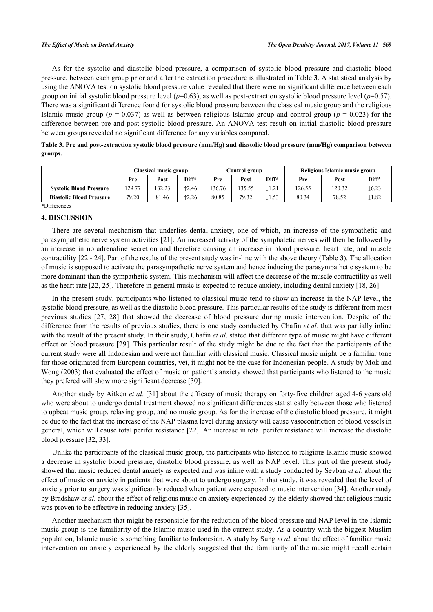As for the systolic and diastolic blood pressure, a comparison of systolic blood pressure and diastolic blood pressure, between each group prior and after the extraction procedure is illustrated in Table **[3](#page-4-0)**. A statistical analysis by using the ANOVA test on systolic blood pressure value revealed that there were no significant difference between each group on initial systolic blood pressure level  $(p=0.63)$ , as well as post-extraction systolic blood pressure level  $(p=0.57)$ . There was a significant difference found for systolic blood pressure between the classical music group and the religious Islamic music group ( $p = 0.037$ ) as well as between religious Islamic group and control group ( $p = 0.023$ ) for the difference between pre and post systolic blood pressure. An ANOVA test result on initial diastolic blood pressure between groups revealed no significant difference for any variables compared.

<span id="page-4-0"></span>

| Table 3. Pre and post-extraction systolic blood pressure (mm/Hg) and diastolic blood pressure (mm/Hg) comparison between |  |  |
|--------------------------------------------------------------------------------------------------------------------------|--|--|
| groups.                                                                                                                  |  |  |

|                                 | Classical music group |       | Control group |       |       | Religious Islamic music group |        |       |       |
|---------------------------------|-----------------------|-------|---------------|-------|-------|-------------------------------|--------|-------|-------|
|                                 | Pre                   | Post  | Diff*         | Pre   | Post  | Diff*                         | Pre    | Post  | Diff* |
| <b>Systolic Blood Pressure</b>  | 129.77                | 32.23 | 12.46         | 36.76 | 35.55 | 1.21                          | 126.55 | 20.32 | 16.23 |
| <b>Diastolic Blood Pressure</b> | 79.20                 | 81.46 | 12.26         | 80.85 | 79.32 | $\perp$ 1.53                  | 80.34  | 78.52 | 1.82  |
| $\sim$ $\sim$ $\sim$ $\sim$     |                       |       |               |       |       |                               |        |       |       |

\*Differences

#### **4. DISCUSSION**

There are several mechanism that underlies dental anxiety, one of which, an increase of the sympathetic and parasympathetic nerve system activities [\[21](#page-6-15)]. An increased activity of the symphatetic nerves will then be followed by an increase in noradrenaline secretion and therefore causing an increase in blood pressure, heart rate, and muscle contractility [\[22](#page-6-16) - [24](#page-6-17)]. Part of the results of the present study was in-line with the above theory (Table **[3](#page-4-0)**). The allocation of music is supposed to activate the parasympathetic nerve system and hence inducing the parasympathetic system to be more dominant than the sympathetic system. This mechanism will affect the decrease of the muscle contractility as well as the heart rate [[22,](#page-6-16) [25\]](#page-6-18). Therefore in general music is expected to reduce anxiety, including dental anxiety [[18,](#page-6-12) [26\]](#page-6-19).

In the present study, participants who listened to classical music tend to show an increase in the NAP level, the systolic blood pressure, as well as the diastolic blood pressure. This particular results of the study is different from most previous studies[[27](#page-6-20), [28](#page-6-21)] that showed the decrease of blood pressure during music intervention. Despite of the difference from the results of previous studies, there is one study conducted by Chafin *et al*. that was partially inline with the result of the present study. In their study, Chafin *et al*. stated that different type of music might have different effect on blood pressure [[29](#page-6-22)]. This particular result of the study might be due to the fact that the participants of the current study were all Indonesian and were not familiar with classical music. Classical music might be a familiar tone for those originated from European countries, yet, it might not be the case for Indonesian people. A study by Mok and Wong (2003) that evaluated the effect of music on patient's anxiety showed that participants who listened to the music they prefered will show more significant decrease [[30\]](#page-7-0).

Another study by Aitken *et al*. [\[31\]](#page-7-1) about the efficacy of music therapy on forty-five children aged 4-6 years old who were about to undergo dental treatment showed no significant differences statistically between those who listened to upbeat music group, relaxing group, and no music group. As for the increase of the diastolic blood pressure, it might be due to the fact that the increase of the NAP plasma level during anxiety will cause vasocontriction of blood vessels in general, which will cause total perifer resistance [\[22](#page-6-16)]. An increase in total perifer resistance will increase the diastolic blood pressure [\[32](#page-7-2), [33](#page-7-3)].

Unlike the participants of the classical music group, the participants who listened to religious Islamic music showed a decrease in systolic blood pressure, diastolic blood pressure, as well as NAP level. This part of the present study showed that music reduced dental anxiety as expected and was inline with a study conducted by Sevban *et al*. about the effect of music on anxiety in patients that were about to undergo surgery. In that study, it was revealed that the level of anxiety prior to surgery was significantly reduced when patient were exposed to music intervention [[34\]](#page-7-4). Another study by Bradshaw *et al*. about the effect of religious music on anxiety experienced by the elderly showed that religious music was proven to be effective in reducing anxiety [[35\]](#page-7-5).

Another mechanism that might be responsible for the reduction of the blood pressure and NAP level in the Islamic music group is the familiarity of the Islamic music used in the current study. As a country with the biggest Muslim population, Islamic music is something familiar to Indonesian. A study by Sung *et al*. about the effect of familiar music intervention on anxiety experienced by the elderly suggested that the familiarity of the music might recall certain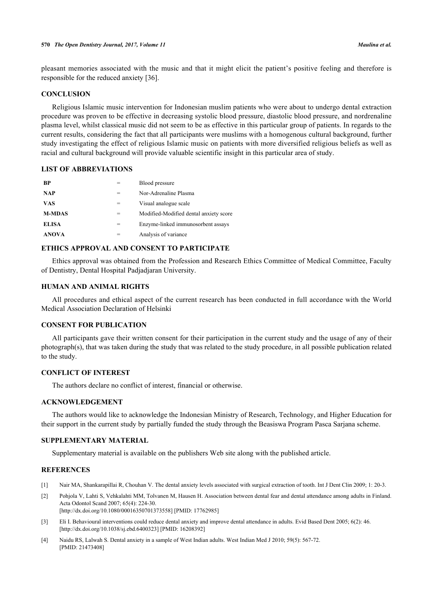pleasant memories associated with the music and that it might elicit the patient's positive feeling and therefore is responsible for the reduced anxiety [\[36](#page-7-6)].

# **CONCLUSION**

Religious Islamic music intervention for Indonesian muslim patients who were about to undergo dental extraction procedure was proven to be effective in decreasing systolic blood pressure, diastolic blood pressure, and nordrenaline plasma level, whilst classical music did not seem to be as effective in this particular group of patients. In regards to the current results, considering the fact that all participants were muslims with a homogenous cultural background, further study investigating the effect of religious Islamic music on patients with more diversified religious beliefs as well as racial and cultural background will provide valuable scientific insight in this particular area of study.

#### **LIST OF ABBREVIATIONS**

| <b>BP</b>     |     | Blood pressure                         |
|---------------|-----|----------------------------------------|
| <b>NAP</b>    |     | Nor-Adrenaline Plasma                  |
| <b>VAS</b>    |     | Visual analogue scale                  |
| <b>M-MDAS</b> |     | Modified-Modified dental anxiety score |
| <b>ELISA</b>  | $=$ | Enzyme-linked immunosorbent assays     |
| <b>ANOVA</b>  |     | Analysis of variance                   |

# **ETHICS APPROVAL AND CONSENT TO PARTICIPATE**

Ethics approval was obtained from the Profession and Research Ethics Committee of Medical Committee, Faculty of Dentistry, Dental Hospital Padjadjaran University.

#### **HUMAN AND ANIMAL RIGHTS**

All procedures and ethical aspect of the current research has been conducted in full accordance with the World Medical Association Declaration of Helsinki

## **CONSENT FOR PUBLICATION**

All participants gave their written consent for their participation in the current study and the usage of any of their photograph(s), that was taken during the study that was related to the study procedure, in all possible publication related to the study.

# **CONFLICT OF INTEREST**

The authors declare no conflict of interest, financial or otherwise.

## **ACKNOWLEDGEMENT**

The authors would like to acknowledge the Indonesian Ministry of Research, Technology, and Higher Education for their support in the current study by partially funded the study through the Beasiswa Program Pasca Sarjana scheme.

#### **SUPPLEMENTARY MATERIAL**

Supplementary material is available on the publishers Web site along with the published article.

#### **REFERENCES**

- <span id="page-5-0"></span>[1] Nair MA, Shankarapillai R, Chouhan V. The dental anxiety levels associated with surgical extraction of tooth. Int J Dent Clin 2009; 1: 20-3.
- <span id="page-5-1"></span>[2] Pohjola V, Lahti S, Vehkalahti MM, Tolvanen M, Hausen H. Association between dental fear and dental attendance among adults in Finland. Acta Odontol Scand 2007; 65(4): 224-30.
- [\[http://dx.doi.org/10.1080/00016350701373558\]](http://dx.doi.org/10.1080/00016350701373558) [PMID: [17762985](http://www.ncbi.nlm.nih.gov/pubmed/17762985)]
- [3] Eli I. Behavioural interventions could reduce dental anxiety and improve dental attendance in adults. Evid Based Dent 2005; 6(2): 46. [\[http://dx.doi.org/10.1038/sj.ebd.6400323\]](http://dx.doi.org/10.1038/sj.ebd.6400323) [PMID: [16208392](http://www.ncbi.nlm.nih.gov/pubmed/16208392)]
- <span id="page-5-2"></span>[4] Naidu RS, Lalwah S. Dental anxiety in a sample of West Indian adults. West Indian Med J 2010; 59(5): 567-72. [PMID: [21473408\]](http://www.ncbi.nlm.nih.gov/pubmed/21473408)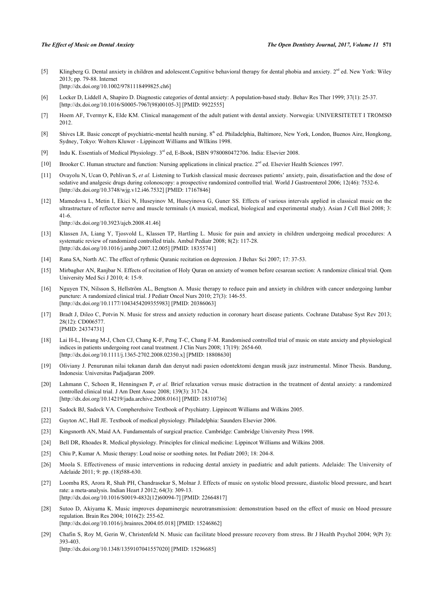- <span id="page-6-0"></span>[5] Klingberg G. Dental anxiety in children and adolescent.Cognitive behavioral therapy for dental phobia and anxiety.  $2^{nd}$  ed. New York: Wiley 2013; pp. 79-88. Internet [\[http://dx.doi.org/10.1002/9781118499825.ch6](http://dx.doi.org/10.1002/9781118499825.ch6)]
- <span id="page-6-1"></span>[6] Locker D, Liddell A, Shapiro D. Diagnostic categories of dental anxiety: A population-based study. Behav Res Ther 1999; 37(1): 25-37. [\[http://dx.doi.org/10.1016/S0005-7967\(98\)00105-3\]](http://dx.doi.org/10.1016/S0005-7967(98)00105-3) [PMID: [9922555](http://www.ncbi.nlm.nih.gov/pubmed/9922555)]
- <span id="page-6-2"></span>[7] Hoem AF, Tvermyr K, Elde KM. Clinical management of the adult patient with dental anxiety. Norwegia: UNIVERSITETET I TROMSØ 2012.
- <span id="page-6-3"></span>[8] Shives LR. Basic concept of psychiatric-mental health nursing. 8<sup>th</sup> ed. Philadelphia, Baltimore, New York, London, Buenos Aire, Hongkong, Sydney, Tokyo: Wolters Kluwer - Lippincott Williams and WIlkins 1998.
- <span id="page-6-4"></span>[9] Indu K. Essentials of Medical Physiology. 3rd ed, E-Book, ISBN 9780080472706. India: Elsevier 2008.
- <span id="page-6-5"></span>[10] Brooker C. Human structure and function: Nursing applications in clinical practice.  $2^{nd}$  ed. Elsevier Health Sciences 1997.
- <span id="page-6-6"></span>[11] Ovayolu N, Ucan O, Pehlivan S, et al. Listening to Turkish classical music decreases patients' anxiety, pain, dissatisfaction and the dose of sedative and analgesic drugs during colonoscopy: a prospective randomized controlled trial. World J Gastroenterol 2006; 12(46): 7532-6. [\[http://dx.doi.org/10.3748/wjg.v12.i46.7532](http://dx.doi.org/10.3748/wjg.v12.i46.7532)] [PMID: [17167846\]](http://www.ncbi.nlm.nih.gov/pubmed/17167846)
- [12] Mamedova L, Metin I, Ekici N, Huseyinov M, Huseyinova G, Guner SS. Effects of various intervals applied in classical music on the ultrastructure of reflector nerve and muscle terminals (A musical, medical, biological and experimental study). Asian J Cell Biol 2008; 3: 41-6. [\[http://dx.doi.org/10.3923/ajcb.2008.41.46](http://dx.doi.org/10.3923/ajcb.2008.41.46)]
- <span id="page-6-7"></span>[13] Klassen JA, Liang Y, Tjosvold L, Klassen TP, Hartling L. Music for pain and anxiety in children undergoing medical procedures: A systematic review of randomized controlled trials. Ambul Pediatr 2008; 8(2): 117-28. [\[http://dx.doi.org/10.1016/j.ambp.2007.12.005\]](http://dx.doi.org/10.1016/j.ambp.2007.12.005) [PMID: [18355741](http://www.ncbi.nlm.nih.gov/pubmed/18355741)]
- <span id="page-6-8"></span>[14] Rana SA, North AC. The effect of rythmic Quranic recitation on depression. J Behav Sci 2007; 17: 37-53.
- <span id="page-6-9"></span>[15] Mirbagher AN, Ranjbar N. Effects of recitation of Holy Quran on anxiety of women before cesarean section: A randomize clinical trial. Qom University Med Sci J 2010; 4: 15-9.
- <span id="page-6-10"></span>[16] Nguyen TN, Nilsson S, Hellström AL, Bengtson A. Music therapy to reduce pain and anxiety in children with cancer undergoing lumbar puncture: A randomized clinical trial. J Pediatr Oncol Nurs 2010; 27(3): 146-55. [\[http://dx.doi.org/10.1177/1043454209355983\]](http://dx.doi.org/10.1177/1043454209355983) [PMID: [20386063](http://www.ncbi.nlm.nih.gov/pubmed/20386063)]
- <span id="page-6-11"></span>[17] Bradt J, Dileo C, Potvin N. Music for stress and anxiety reduction in coronary heart disease patients. Cochrane Database Syst Rev 2013; 28(12): CD006577. [PMID: [24374731\]](http://www.ncbi.nlm.nih.gov/pubmed/24374731)
- <span id="page-6-12"></span>[18] Lai H-L, Hwang M-J, Chen CJ, Chang K-F, Peng T-C, Chang F-M. Randomised controlled trial of music on state anxiety and physiological indices in patients undergoing root canal treatment. J Clin Nurs 2008; 17(19): 2654-60. [\[http://dx.doi.org/10.1111/j.1365-2702.2008.02350.x\]](http://dx.doi.org/10.1111/j.1365-2702.2008.02350.x) [PMID: [18808630](http://www.ncbi.nlm.nih.gov/pubmed/18808630)]
- <span id="page-6-13"></span>[19] Oliviany J. Penurunan nilai tekanan darah dan denyut nadi pasien odontektomi dengan musik jazz instrumental. Minor Thesis. Bandung, Indonesia: Universitas Padjadjaran 2009.
- <span id="page-6-14"></span>[20] Lahmann C, Schoen R, Henningsen P, *et al.* Brief relaxation versus music distraction in the treatment of dental anxiety: a randomized controlled clinical trial. J Am Dent Assoc 2008; 139(3): 317-24. [\[http://dx.doi.org/10.14219/jada.archive.2008.0161\]](http://dx.doi.org/10.14219/jada.archive.2008.0161) [PMID: [18310736](http://www.ncbi.nlm.nih.gov/pubmed/18310736)]
- <span id="page-6-15"></span>[21] Sadock BJ, Sadock VA. Compherehsive Textbook of Psychiatry. Lippincott Williams and Wilkins 2005.
- <span id="page-6-16"></span>[22] Guyton AC, Hall JE. Textbook of medical physiology. Philadelphia: Saunders Elsevier 2006.
- [23] Kingsnorth AN, Maid AA. Fundamentals of surgical practice. Cambridge: Cambridge University Press 1998.
- <span id="page-6-17"></span>[24] Bell DR, Rhoades R. Medical physiology. Principles for clinical medicine: Lippincot Williams and Wilkins 2008.
- <span id="page-6-18"></span>[25] Chiu P, Kumar A. Music therapy: Loud noise or soothing notes. Int Pediatr 2003; 18: 204-8.
- <span id="page-6-19"></span>[26] Moola S. Effectiveness of music interventions in reducing dental anxiety in paediatric and adult patients. Adelaide: The University of Adelaide 2011; 9: pp. (18)588-630.
- <span id="page-6-20"></span>[27] Loomba RS, Arora R, Shah PH, Chandrasekar S, Molnar J. Effects of music on systolic blood pressure, diastolic blood pressure, and heart rate: a meta-analysis. Indian Heart J 2012; 64(3): 309-13. [\[http://dx.doi.org/10.1016/S0019-4832\(12\)60094-7\]](http://dx.doi.org/10.1016/S0019-4832(12)60094-7) [PMID: [22664817](http://www.ncbi.nlm.nih.gov/pubmed/22664817)]
- <span id="page-6-21"></span>[28] Sutoo D, Akiyama K. Music improves dopaminergic neurotransmission: demonstration based on the effect of music on blood pressure regulation. Brain Res 2004; 1016(2): 255-62. [\[http://dx.doi.org/10.1016/j.brainres.2004.05.018\]](http://dx.doi.org/10.1016/j.brainres.2004.05.018) [PMID: [15246862](http://www.ncbi.nlm.nih.gov/pubmed/15246862)]
- <span id="page-6-22"></span>[29] Chafin S, Roy M, Gerin W, Christenfeld N. Music can facilitate blood pressure recovery from stress. Br J Health Psychol 2004; 9(Pt 3): 393-403.

[\[http://dx.doi.org/10.1348/1359107041557020\]](http://dx.doi.org/10.1348/1359107041557020) [PMID: [15296685](http://www.ncbi.nlm.nih.gov/pubmed/15296685)]